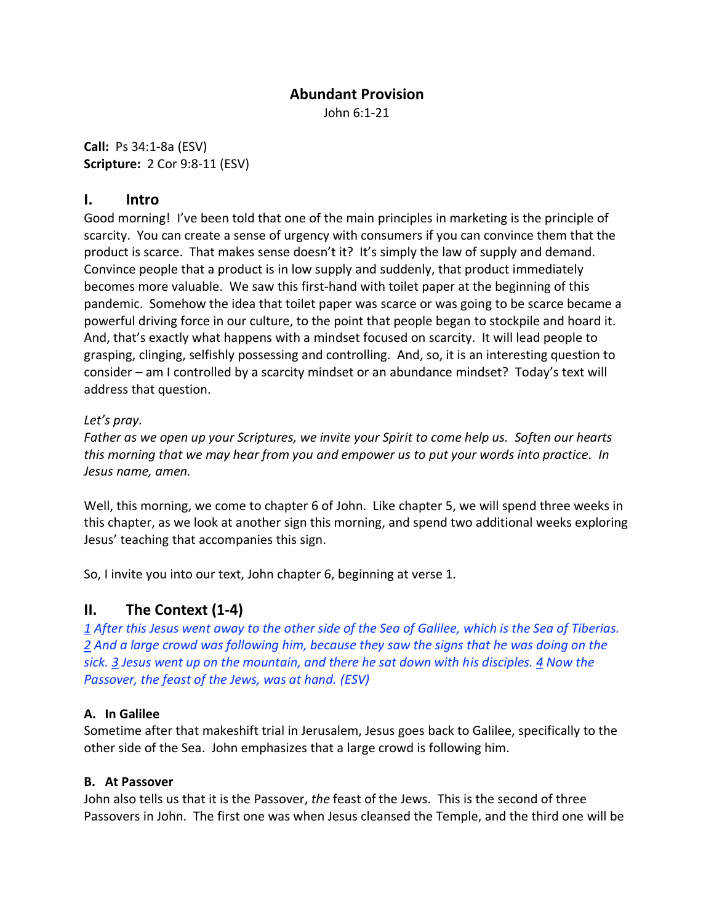## **Abundant Provision**

John 6:1-21

**Call:** Ps 34:1-8a (ESV) **Scripture:** 2 Cor 9:8-11 (ESV)

## **I. Intro**

Good morning! I've been told that one of the main principles in marketing is the principle of scarcity. You can create a sense of urgency with consumers if you can convince them that the product is scarce. That makes sense doesn't it? It's simply the law of supply and demand. Convince people that a product is in low supply and suddenly, that product immediately becomes more valuable. We saw this first-hand with toilet paper at the beginning of this pandemic. Somehow the idea that toilet paper was scarce or was going to be scarce became a powerful driving force in our culture, to the point that people began to stockpile and hoard it. And, that's exactly what happens with a mindset focused on scarcity. It will lead people to grasping, clinging, selfishly possessing and controlling. And, so, it is an interesting question to consider – am I controlled by a scarcity mindset or an abundance mindset? Today's text will address that question.

### *Let's pray.*

*Father as we open up your Scriptures, we invite your Spirit to come help us. Soften our hearts this morning that we may hear from you and empower us to put your words into practice. In Jesus name, amen.*

Well, this morning, we come to chapter 6 of John. Like chapter 5, we will spend three weeks in this chapter, as we look at another sign this morning, and spend two additional weeks exploring Jesus' teaching that accompanies this sign.

So, I invite you into our text, John chapter 6, beginning at verse 1.

## **II. The Context (1-4)**

*1 After this Jesus went away to the other side of the Sea of Galilee, which is the Sea of Tiberias. 2 And a large crowd was following him, because they saw the signs that he was doing on the sick. 3 Jesus went up on the mountain, and there he sat down with his disciples. 4 Now the Passover, the feast of the Jews, was at hand. (ESV)*

### **A. In Galilee**

Sometime after that makeshift trial in Jerusalem, Jesus goes back to Galilee, specifically to the other side of the Sea. John emphasizes that a large crowd is following him.

### **B. At Passover**

John also tells us that it is the Passover, *the* feast of the Jews. This is the second of three Passovers in John. The first one was when Jesus cleansed the Temple, and the third one will be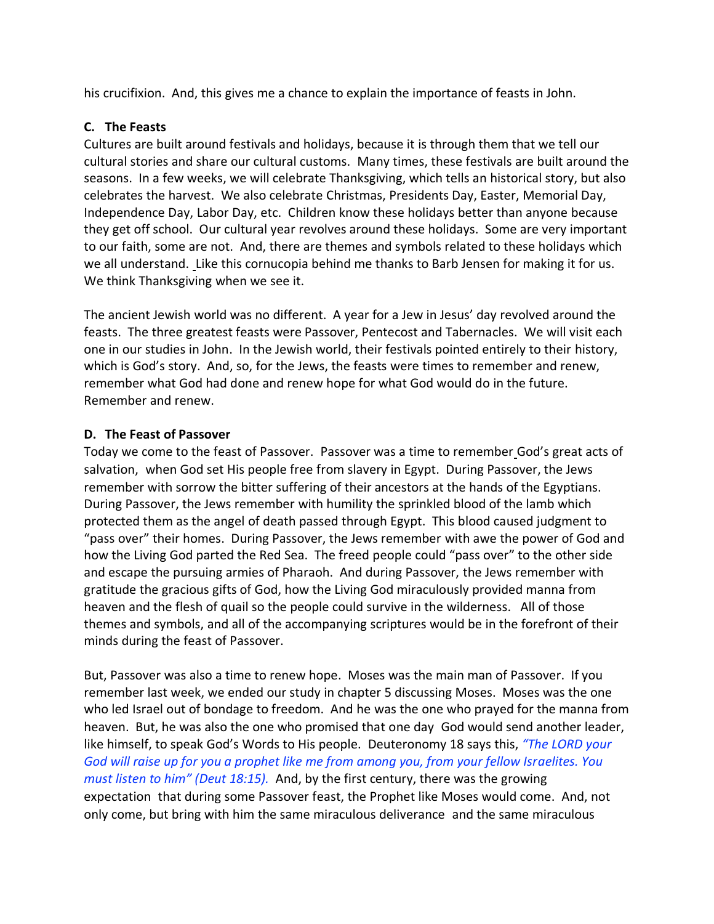his crucifixion. And, this gives me a chance to explain the importance of feasts in John.

#### **C. The Feasts**

Cultures are built around festivals and holidays, because it is through them that we tell our cultural stories and share our cultural customs. Many times, these festivals are built around the seasons. In a few weeks, we will celebrate Thanksgiving, which tells an historical story, but also celebrates the harvest. We also celebrate Christmas, Presidents Day, Easter, Memorial Day, Independence Day, Labor Day, etc. Children know these holidays better than anyone because they get off school. Our cultural year revolves around these holidays. Some are very important to our faith, some are not. And, there are themes and symbols related to these holidays which we all understand. Like this cornucopia behind me thanks to Barb Jensen for making it for us. We think Thanksgiving when we see it.

The ancient Jewish world was no different. A year for a Jew in Jesus' day revolved around the feasts. The three greatest feasts were Passover, Pentecost and Tabernacles. We will visit each one in our studies in John. In the Jewish world, their festivals pointed entirely to their history, which is God's story. And, so, for the Jews, the feasts were times to remember and renew, remember what God had done and renew hope for what God would do in the future. Remember and renew.

#### **D. The Feast of Passover**

Today we come to the feast of Passover. Passover was a time to remember God's great acts of salvation, when God set His people free from slavery in Egypt. During Passover, the Jews remember with sorrow the bitter suffering of their ancestors at the hands of the Egyptians. During Passover, the Jews remember with humility the sprinkled blood of the lamb which protected them as the angel of death passed through Egypt. This blood caused judgment to "pass over" their homes. During Passover, the Jews remember with awe the power of God and how the Living God parted the Red Sea. The freed people could "pass over" to the other side and escape the pursuing armies of Pharaoh. And during Passover, the Jews remember with gratitude the gracious gifts of God, how the Living God miraculously provided manna from heaven and the flesh of quail so the people could survive in the wilderness. All of those themes and symbols, and all of the accompanying scriptures would be in the forefront of their minds during the feast of Passover.

But, Passover was also a time to renew hope. Moses was the main man of Passover. If you remember last week, we ended our study in chapter 5 discussing Moses. Moses was the one who led Israel out of bondage to freedom. And he was the one who prayed for the manna from heaven. But, he was also the one who promised that one day God would send another leader, like himself, to speak God's Words to His people. Deuteronomy 18 says this, *"The LORD your God will raise up for you a prophet like me from among you, from your fellow Israelites. You must listen to him" (Deut 18:15).* And, by the first century, there was the growing expectation that during some Passover feast, the Prophet like Moses would come. And, not only come, but bring with him the same miraculous deliverance and the same miraculous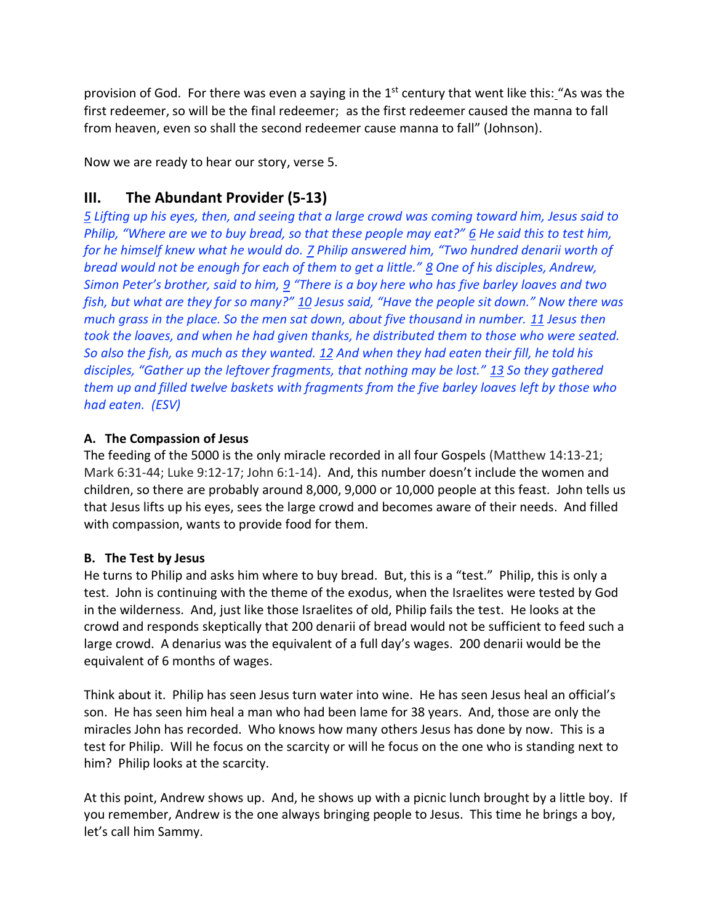provision of God. For there was even a saying in the  $1<sup>st</sup>$  century that went like this: "As was the first redeemer, so will be the final redeemer; as the first redeemer caused the manna to fall from heaven, even so shall the second redeemer cause manna to fall" (Johnson).

Now we are ready to hear our story, verse 5.

# **III. The Abundant Provider (5-13)**

*5 Lifting up his eyes, then, and seeing that a large crowd was coming toward him, Jesus said to Philip, "Where are we to buy bread, so that these people may eat?"* <u>6</u> *He said this to test him, for he himself knew what he would do. 7 Philip answered him, "Two hundred denarii worth of bread would not be enough for each of them to get a little." 8 One of his disciples, Andrew, Simon Peter's brother, said to him, 9 "There is a boy here who has five barley loaves and two fish, but what are they for so many?" 10 Jesus said, "Have the people sit down." Now there was much grass in the place. So the men sat down, about five thousand in number. 11 Jesus then took the loaves, and when he had given thanks, he distributed them to those who were seated. So also the fish, as much as they wanted. 12 And when they had eaten their fill, he told his disciples, "Gather up the leftover fragments, that nothing may be lost." 13 So they gathered them up and filled twelve baskets with fragments from the five barley loaves left by those who had eaten. (ESV)*

## **A. The Compassion of Jesus**

The feeding of the 5000 is the only miracle recorded in all four Gospels (Matthew 14:13-21; Mark 6:31-44; Luke 9:12-17; John 6:1-14). And, this number doesn't include the women and children, so there are probably around 8,000, 9,000 or 10,000 people at this feast. John tells us that Jesus lifts up his eyes, sees the large crowd and becomes aware of their needs. And filled with compassion, wants to provide food for them.

## **B. The Test by Jesus**

He turns to Philip and asks him where to buy bread. But, this is a "test." Philip, this is only a test. John is continuing with the theme of the exodus, when the Israelites were tested by God in the wilderness. And, just like those Israelites of old, Philip fails the test. He looks at the crowd and responds skeptically that 200 denarii of bread would not be sufficient to feed such a large crowd. A denarius was the equivalent of a full day's wages. 200 denarii would be the equivalent of 6 months of wages.

Think about it. Philip has seen Jesus turn water into wine. He has seen Jesus heal an official's son. He has seen him heal a man who had been lame for 38 years. And, those are only the miracles John has recorded. Who knows how many others Jesus has done by now. This is a test for Philip. Will he focus on the scarcity or will he focus on the one who is standing next to him? Philip looks at the scarcity.

At this point, Andrew shows up. And, he shows up with a picnic lunch brought by a little boy. If you remember, Andrew is the one always bringing people to Jesus. This time he brings a boy, let's call him Sammy.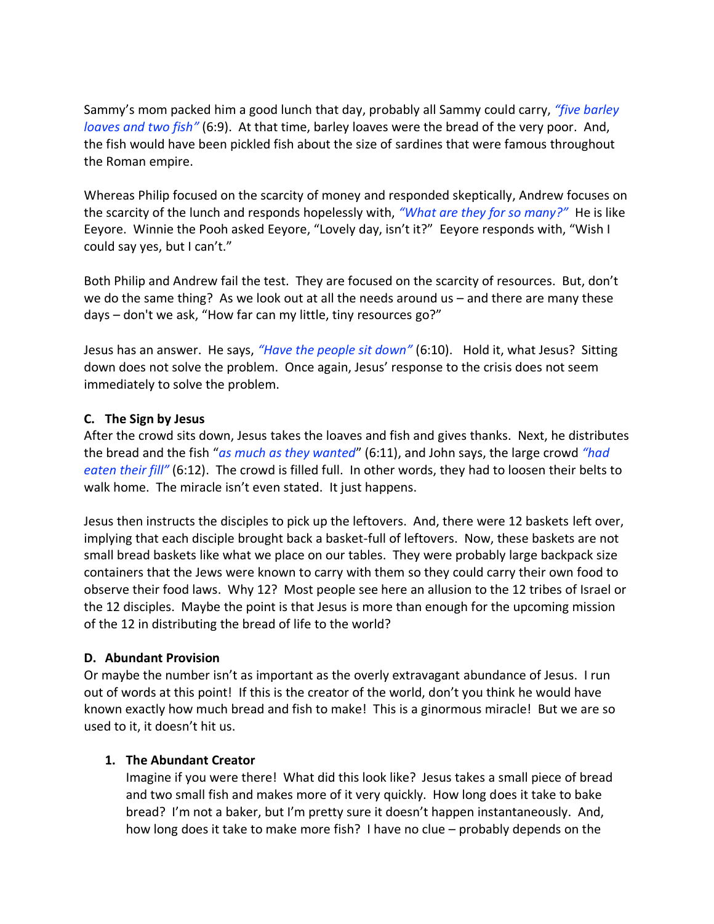Sammy's mom packed him a good lunch that day, probably all Sammy could carry, *"five barley loaves and two fish"* (6:9). At that time, barley loaves were the bread of the very poor. And, the fish would have been pickled fish about the size of sardines that were famous throughout the Roman empire.

Whereas Philip focused on the scarcity of money and responded skeptically, Andrew focuses on the scarcity of the lunch and responds hopelessly with, *"What are they for so many?"* He is like Eeyore. Winnie the Pooh asked Eeyore, "Lovely day, isn't it?" Eeyore responds with, "Wish I could say yes, but I can't."

Both Philip and Andrew fail the test. They are focused on the scarcity of resources. But, don't we do the same thing? As we look out at all the needs around us – and there are many these days – don't we ask, "How far can my little, tiny resources go?"

Jesus has an answer. He says, *"Have the people sit down"* (6:10). Hold it, what Jesus? Sitting down does not solve the problem. Once again, Jesus' response to the crisis does not seem immediately to solve the problem.

#### **C. The Sign by Jesus**

After the crowd sits down, Jesus takes the loaves and fish and gives thanks. Next, he distributes the bread and the fish "*as much as they wanted*" (6:11), and John says, the large crowd *"had eaten their fill"* (6:12). The crowd is filled full. In other words, they had to loosen their belts to walk home. The miracle isn't even stated. It just happens.

Jesus then instructs the disciples to pick up the leftovers. And, there were 12 baskets left over, implying that each disciple brought back a basket-full of leftovers. Now, these baskets are not small bread baskets like what we place on our tables. They were probably large backpack size containers that the Jews were known to carry with them so they could carry their own food to observe their food laws. Why 12? Most people see here an allusion to the 12 tribes of Israel or the 12 disciples. Maybe the point is that Jesus is more than enough for the upcoming mission of the 12 in distributing the bread of life to the world?

#### **D. Abundant Provision**

Or maybe the number isn't as important as the overly extravagant abundance of Jesus. I run out of words at this point! If this is the creator of the world, don't you think he would have known exactly how much bread and fish to make! This is a ginormous miracle! But we are so used to it, it doesn't hit us.

### **1. The Abundant Creator**

Imagine if you were there! What did this look like? Jesus takes a small piece of bread and two small fish and makes more of it very quickly. How long does it take to bake bread? I'm not a baker, but I'm pretty sure it doesn't happen instantaneously. And, how long does it take to make more fish? I have no clue – probably depends on the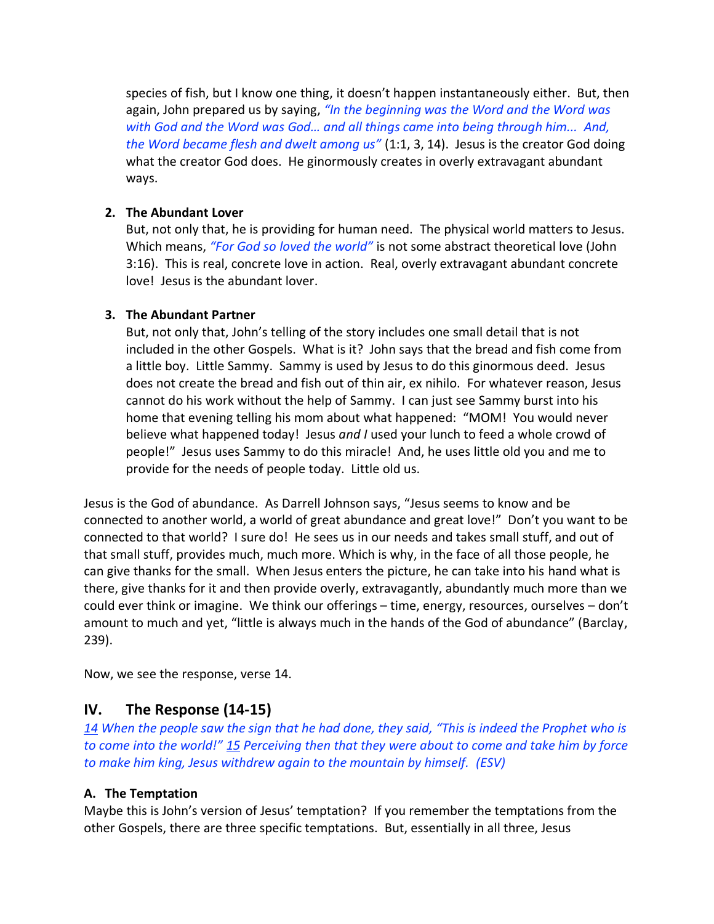species of fish, but I know one thing, it doesn't happen instantaneously either. But, then again, John prepared us by saying, *"In the beginning was the Word and the Word was with God and the Word was God… and all things came into being through him... And, the Word became flesh and dwelt among us"* (1:1, 3, 14). Jesus is the creator God doing what the creator God does. He ginormously creates in overly extravagant abundant ways.

#### **2. The Abundant Lover**

But, not only that, he is providing for human need. The physical world matters to Jesus. Which means, *"For God so loved the world"* is not some abstract theoretical love (John 3:16). This is real, concrete love in action. Real, overly extravagant abundant concrete love! Jesus is the abundant lover.

### **3. The Abundant Partner**

But, not only that, John's telling of the story includes one small detail that is not included in the other Gospels. What is it? John says that the bread and fish come from a little boy. Little Sammy. Sammy is used by Jesus to do this ginormous deed. Jesus does not create the bread and fish out of thin air, ex nihilo. For whatever reason, Jesus cannot do his work without the help of Sammy. I can just see Sammy burst into his home that evening telling his mom about what happened: "MOM! You would never believe what happened today! Jesus *and I* used your lunch to feed a whole crowd of people!" Jesus uses Sammy to do this miracle! And, he uses little old you and me to provide for the needs of people today. Little old us.

Jesus is the God of abundance. As Darrell Johnson says, "Jesus seems to know and be connected to another world, a world of great abundance and great love!" Don't you want to be connected to that world? I sure do! He sees us in our needs and takes small stuff, and out of that small stuff, provides much, much more. Which is why, in the face of all those people, he can give thanks for the small. When Jesus enters the picture, he can take into his hand what is there, give thanks for it and then provide overly, extravagantly, abundantly much more than we could ever think or imagine. We think our offerings – time, energy, resources, ourselves – don't amount to much and yet, "little is always much in the hands of the God of abundance" (Barclay, 239).

Now, we see the response, verse 14.

## **IV. The Response (14-15)**

*14 When the people saw the sign that he had done, they said, "This is indeed the Prophet who is to come into the world!" 15 Perceiving then that they were about to come and take him by force to make him king, Jesus withdrew again to the mountain by himself. (ESV)* 

### **A. The Temptation**

Maybe this is John's version of Jesus' temptation? If you remember the temptations from the other Gospels, there are three specific temptations. But, essentially in all three, Jesus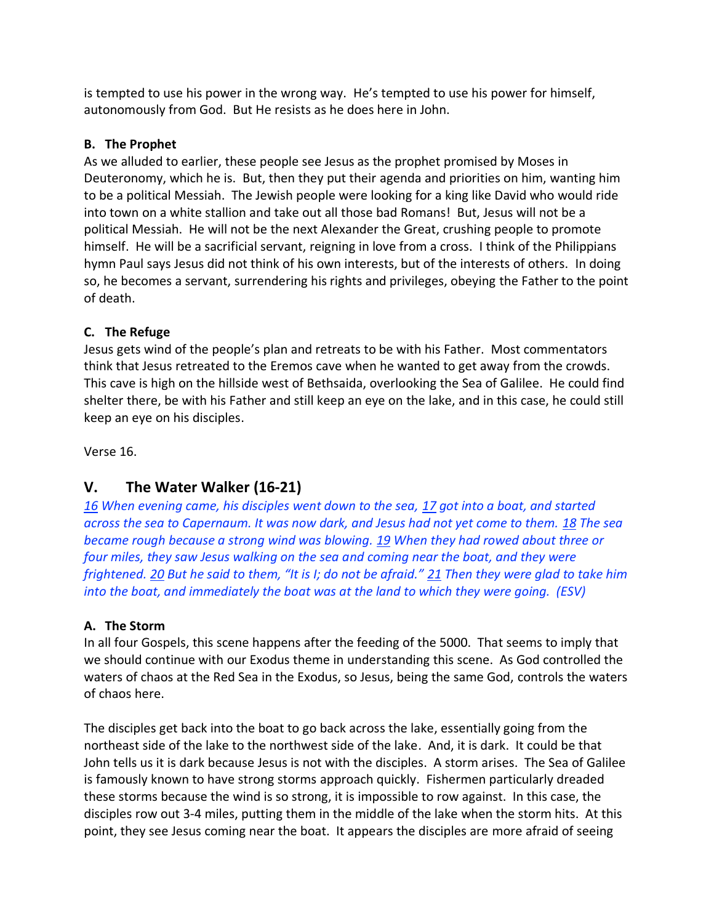is tempted to use his power in the wrong way. He's tempted to use his power for himself, autonomously from God. But He resists as he does here in John.

## **B. The Prophet**

As we alluded to earlier, these people see Jesus as the prophet promised by Moses in Deuteronomy, which he is. But, then they put their agenda and priorities on him, wanting him to be a political Messiah. The Jewish people were looking for a king like David who would ride into town on a white stallion and take out all those bad Romans! But, Jesus will not be a political Messiah. He will not be the next Alexander the Great, crushing people to promote himself. He will be a sacrificial servant, reigning in love from a cross. I think of the Philippians hymn Paul says Jesus did not think of his own interests, but of the interests of others. In doing so, he becomes a servant, surrendering his rights and privileges, obeying the Father to the point of death.

## **C. The Refuge**

Jesus gets wind of the people's plan and retreats to be with his Father. Most commentators think that Jesus retreated to the Eremos cave when he wanted to get away from the crowds. This cave is high on the hillside west of Bethsaida, overlooking the Sea of Galilee. He could find shelter there, be with his Father and still keep an eye on the lake, and in this case, he could still keep an eye on his disciples.

Verse 16.

## **V. The Water Walker (16-21)**

*16 When evening came, his disciples went down to the sea, 17 got into a boat, and started across the sea to Capernaum. It was now dark, and Jesus had not yet come to them. 18 The sea became rough because a strong wind was blowing. 19 When they had rowed about three or four miles, they saw Jesus walking on the sea and coming near the boat, and they were frightened. 20 But he said to them, "It is I; do not be afraid." 21 Then they were glad to take him into the boat, and immediately the boat was at the land to which they were going. (ESV)*

## **A. The Storm**

In all four Gospels, this scene happens after the feeding of the 5000. That seems to imply that we should continue with our Exodus theme in understanding this scene. As God controlled the waters of chaos at the Red Sea in the Exodus, so Jesus, being the same God, controls the waters of chaos here.

The disciples get back into the boat to go back across the lake, essentially going from the northeast side of the lake to the northwest side of the lake. And, it is dark. It could be that John tells us it is dark because Jesus is not with the disciples. A storm arises. The Sea of Galilee is famously known to have strong storms approach quickly. Fishermen particularly dreaded these storms because the wind is so strong, it is impossible to row against. In this case, the disciples row out 3-4 miles, putting them in the middle of the lake when the storm hits. At this point, they see Jesus coming near the boat. It appears the disciples are more afraid of seeing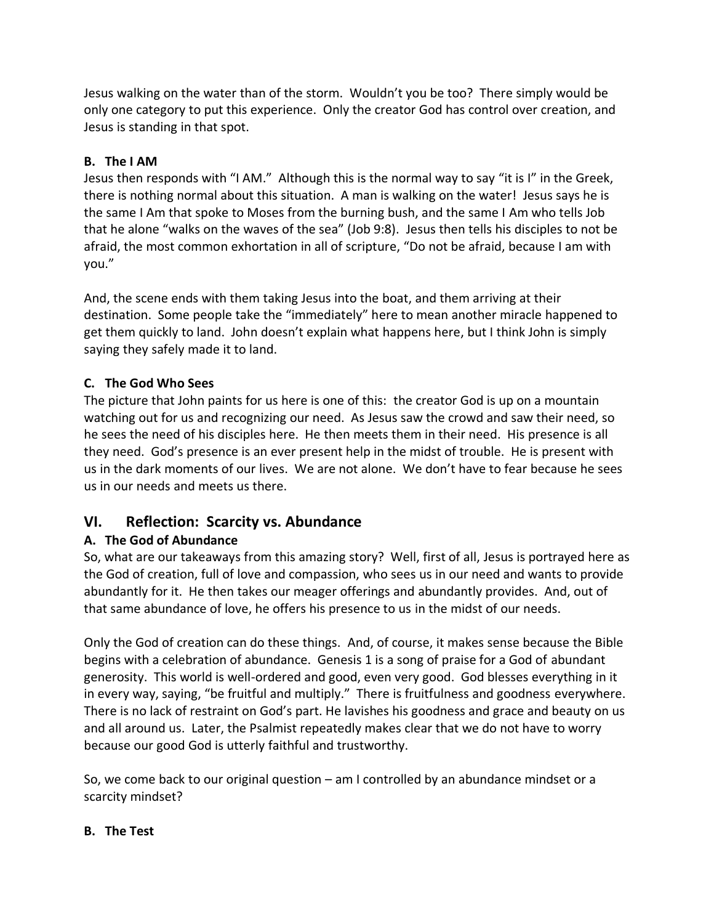Jesus walking on the water than of the storm. Wouldn't you be too? There simply would be only one category to put this experience. Only the creator God has control over creation, and Jesus is standing in that spot.

## **B. The I AM**

Jesus then responds with "I AM." Although this is the normal way to say "it is I" in the Greek, there is nothing normal about this situation. A man is walking on the water! Jesus says he is the same I Am that spoke to Moses from the burning bush, and the same I Am who tells Job that he alone "walks on the waves of the sea" (Job 9:8). Jesus then tells his disciples to not be afraid, the most common exhortation in all of scripture, "Do not be afraid, because I am with you."

And, the scene ends with them taking Jesus into the boat, and them arriving at their destination. Some people take the "immediately" here to mean another miracle happened to get them quickly to land. John doesn't explain what happens here, but I think John is simply saying they safely made it to land.

## **C. The God Who Sees**

The picture that John paints for us here is one of this: the creator God is up on a mountain watching out for us and recognizing our need. As Jesus saw the crowd and saw their need, so he sees the need of his disciples here. He then meets them in their need. His presence is all they need. God's presence is an ever present help in the midst of trouble. He is present with us in the dark moments of our lives. We are not alone. We don't have to fear because he sees us in our needs and meets us there.

## **VI. Reflection: Scarcity vs. Abundance**

## **A. The God of Abundance**

So, what are our takeaways from this amazing story? Well, first of all, Jesus is portrayed here as the God of creation, full of love and compassion, who sees us in our need and wants to provide abundantly for it. He then takes our meager offerings and abundantly provides. And, out of that same abundance of love, he offers his presence to us in the midst of our needs.

Only the God of creation can do these things. And, of course, it makes sense because the Bible begins with a celebration of abundance. Genesis 1 is a song of praise for a God of abundant generosity. This world is well-ordered and good, even very good. God blesses everything in it in every way, saying, "be fruitful and multiply." There is fruitfulness and goodness everywhere. There is no lack of restraint on God's part. He lavishes his goodness and grace and beauty on us and all around us. Later, the Psalmist repeatedly makes clear that we do not have to worry because our good God is utterly faithful and trustworthy.

So, we come back to our original question – am I controlled by an abundance mindset or a scarcity mindset?

## **B. The Test**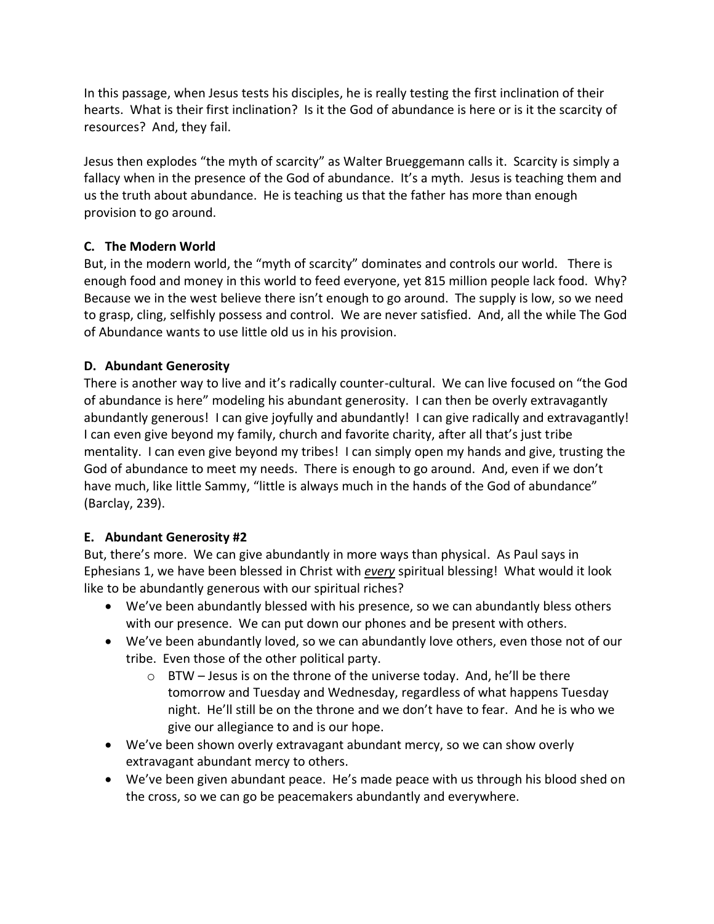In this passage, when Jesus tests his disciples, he is really testing the first inclination of their hearts. What is their first inclination? Is it the God of abundance is here or is it the scarcity of resources? And, they fail.

Jesus then explodes "the myth of scarcity" as Walter Brueggemann calls it. Scarcity is simply a fallacy when in the presence of the God of abundance. It's a myth. Jesus is teaching them and us the truth about abundance. He is teaching us that the father has more than enough provision to go around.

## **C. The Modern World**

But, in the modern world, the "myth of scarcity" dominates and controls our world. There is enough food and money in this world to feed everyone, yet 815 million people lack food. Why? Because we in the west believe there isn't enough to go around. The supply is low, so we need to grasp, cling, selfishly possess and control. We are never satisfied. And, all the while The God of Abundance wants to use little old us in his provision.

## **D. Abundant Generosity**

There is another way to live and it's radically counter-cultural. We can live focused on "the God of abundance is here" modeling his abundant generosity. I can then be overly extravagantly abundantly generous! I can give joyfully and abundantly! I can give radically and extravagantly! I can even give beyond my family, church and favorite charity, after all that's just tribe mentality. I can even give beyond my tribes! I can simply open my hands and give, trusting the God of abundance to meet my needs. There is enough to go around. And, even if we don't have much, like little Sammy, "little is always much in the hands of the God of abundance" (Barclay, 239).

### **E. Abundant Generosity #2**

But, there's more. We can give abundantly in more ways than physical. As Paul says in Ephesians 1, we have been blessed in Christ with *every* spiritual blessing! What would it look like to be abundantly generous with our spiritual riches?

- We've been abundantly blessed with his presence, so we can abundantly bless others with our presence. We can put down our phones and be present with others.
- We've been abundantly loved, so we can abundantly love others, even those not of our tribe. Even those of the other political party.
	- $\circ$  BTW Jesus is on the throne of the universe today. And, he'll be there tomorrow and Tuesday and Wednesday, regardless of what happens Tuesday night. He'll still be on the throne and we don't have to fear. And he is who we give our allegiance to and is our hope.
- We've been shown overly extravagant abundant mercy, so we can show overly extravagant abundant mercy to others.
- We've been given abundant peace. He's made peace with us through his blood shed on the cross, so we can go be peacemakers abundantly and everywhere.